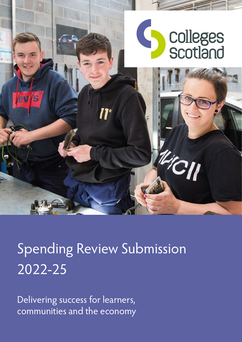

# Spending Review Submission 2022-25

Delivering success for learners, communities and the economy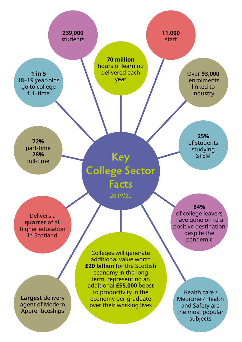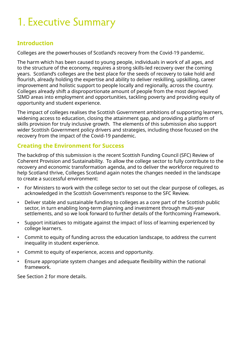# 1. Executive Summary

### **Introduction**

Colleges are the powerhouses of Scotland's recovery from the Covid-19 pandemic.

The harm which has been caused to young people, individuals in work of all ages, and to the structure of the economy, requires a strong skills-led recovery over the coming years. Scotland's colleges are the best place for the seeds of recovery to take hold and flourish, already holding the expertise and ability to deliver reskilling, upskilling, career improvement and holistic support to people locally and regionally, across the country. Colleges already shift a disproportionate amount of people from the most deprived SIMD areas into employment and opportunities, tackling poverty and providing equity of opportunity and student experience.

The impact of colleges realises the Scottish Government ambitions of supporting learners, widening access to education, closing the attainment gap, and providing a platform of skills provision for truly inclusive growth. The elements of this submission also support wider Scottish Government policy drivers and strategies, including those focused on the recovery from the impact of the Covid-19 pandemic.

### **Creating the Environment for Success**

The backdrop of this submission is the recent Scottish Funding Council (SFC) Review of Coherent Provision and Sustainability. To allow the college sector to fully contribute to the recovery and economic transformation agenda, and to deliver the workforce required to help Scotland thrive, Colleges Scotland again notes the changes needed in the landscape to create a successful environment:

- For Ministers to work with the college sector to set out the clear purpose of colleges, as acknowledged in the Scottish Government's response to the SFC Review.
- Deliver stable and sustainable funding to colleges as a core part of the Scottish public sector, in turn enabling long-term planning and investment through multi-year settlements, and so we look forward to further details of the forthcoming Framework.
- Support initiatives to mitigate against the impact of loss of learning experienced by college learners.
- Commit to equity of funding across the education landscape, to address the current inequality in student experience.
- Commit to equity of experience, access and opportunity.
- Ensure appropriate system changes and adequate flexibility within the national framework.

See Section 2 for more details.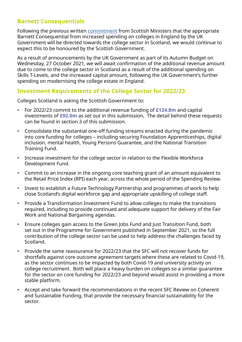### **Barnett Consequentials**

Following the previous written [commitment](https://www.parliament.scot/chamber-and-committees/debates-and-questions/questions/2020/04/16/s5w28477?qry=S5W-28477) from Scottish Ministers that the appropriate Barnett Consequential from increased spending on colleges in England by the UK Government will be directed towards the college sector in Scotland, we would continue to expect this to be honoured by the Scottish Government.

As a result of announcements by the UK Government as part of its Autumn Budget on Wednesday, 27 October 2021, we will await confirmation of the additional revenue amount due to come to the college sector in Scotland as a result of the additional spending on Skills T-Levels, and the increased capital amount, following the UK Government's further spending on modernising the college estate in England.

#### **Investment Requirements of the College Sector for 2022/23**

Colleges Scotland is asking the Scottish Government to:

- For 2022/23 commit to the additional revenue funding of **£124.8m** and capital investments of **£92.0m** as set out in this submission**.** The detail behind these requests can be found in section 3 of this submission.
- Consolidate the substantial one-off funding streams enacted during the pandemic into core funding for colleges – including securing Foundation Apprenticeships, digital inclusion, mental health, Young Persons Guarantee, and the National Transition Training Fund.
- Increase investment for the college sector in relation to the Flexible Workforce Development Fund.
- Commit to an increase in the ongoing core teaching grant of an amount equivalent to the Retail Price Index (RPI) each year, across the whole period of the Spending Review.
- Invest to establish a Future Technology Partnership and programmes of work to help close Scotland's digital workforce gap and appropriate upskilling of college staff.
- Provide a Transformation Investment Fund to allow colleges to make the transitions required, including to provide continued and adequate support for delivery of the Fair Work and National Bargaining agendas.
- Ensure colleges gain access to the Green Jobs Fund and Just Transition Fund, both set out in the Programme for Government published in September 2021, so the full contribution of the college sector can be used to help address the challenges faced by Scotland.
- Provide the same reassurance for 2022/23 that the SFC will not recover funds for shortfalls against core outcome agreement targets where these are related to Covid-19, as the sector continues to be impacted by both Covid-19 and university activity on college recruitment. Both will place a heavy burden on colleges so a similar guarantee for the sector on core funding for 2022/23 and beyond would assist in providing a more stable platform.
- Accept and take forward the recommendations in the recent SFC Review on Coherent and Sustainable Funding, that provide the necessary financial sustainability for the sector.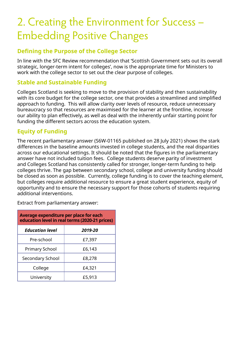# 2. Creating the Environment for Success – Embedding Positive Changes

### **Defining the Purpose of the College Sector**

In line with the SFC Review recommendation that 'Scottish Government sets out its overall strategic, longer-term intent for colleges', now is the appropriate time for Ministers to work with the college sector to set out the clear purpose of colleges.

#### **Stable and Sustainable Funding**

Colleges Scotland is seeking to move to the provision of stability and then sustainability with its core budget for the college sector, one that provides a streamlined and simplified approach to funding. This will allow clarity over levels of resource, reduce unnecessary bureaucracy so that resources are maximised for the learner at the frontline, increase our ability to plan effectively, as well as deal with the inherently unfair starting point for funding the different sectors across the education system.

#### **Equity of Funding**

The recent parliamentary answer (S6W-01165 published on 28 July 2021) shows the stark differences in the baseline amounts invested in college students, and the real disparities across our educational settings. It should be noted that the figures in the parliamentary answer have not included tuition fees. College students deserve parity of investment and Colleges Scotland has consistently called for stronger, longer-term funding to help colleges thrive. The gap between secondary school, college and university funding should be closed as soon as possible. Currently, college funding is to cover the teaching element, but colleges require additional resource to ensure a great student experience, equity of opportunity and to ensure the necessary support for those cohorts of students requiring additional interventions.

Extract from parliamentary answer:

| Average expenditure per place for each<br>education level in real terms (2020-21 prices) |         |  |  |  |
|------------------------------------------------------------------------------------------|---------|--|--|--|
| <b>Education level</b>                                                                   | 2019-20 |  |  |  |
| Pre-school                                                                               | £7,397  |  |  |  |
| <b>Primary School</b>                                                                    | £6,143  |  |  |  |
| Secondary School                                                                         | £8,278  |  |  |  |
| College                                                                                  | £4,321  |  |  |  |
| University                                                                               | £5,913  |  |  |  |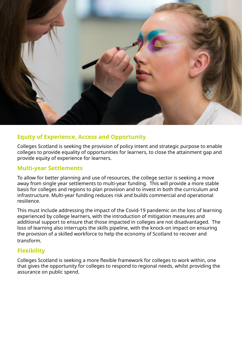

# **Equity of Experience, Access and Opportunity**

Colleges Scotland is seeking the provision of policy intent and strategic purpose to enable colleges to provide equality of opportunities for learners, to close the attainment gap and provide equity of experience for learners.

### **Multi-year Settlements**

To allow for better planning and use of resources, the college sector is seeking a move away from single year settlements to multi-year funding. This will provide a more stable basis for colleges and regions to plan provision and to invest in both the curriculum and infrastructure. Multi-year funding reduces risk and builds commercial and operational resilience.

This must include addressing the impact of the Covid-19 pandemic on the loss of learning experienced by college learners, with the introduction of mitigation measures and additional support to ensure that those impacted in colleges are not disadvantaged. The loss of learning also interrupts the skills pipeline, with the knock-on impact on ensuring the provision of a skilled workforce to help the economy of Scotland to recover and transform.

# **Flexibility**

Colleges Scotland is seeking a more flexible framework for colleges to work within, one that gives the opportunity for colleges to respond to regional needs, whilst providing the assurance on public spend.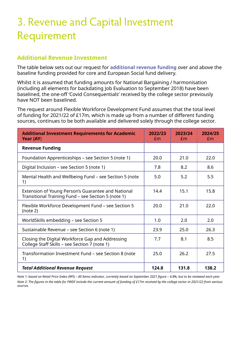# 3. Revenue and Capital Investment Requirement

#### **Additional Revenue Investment**

The table below sets out our request for **additional revenue funding** over and above the baseline funding provided for core and European Social fund delivery.

Whilst it is assumed that funding amounts for National Bargaining / harmonisation (including all elements for backdating Job Evaluation to September 2018) have been baselined, the one-off 'Covid Consequentials' received by the college sector previously have NOT been baselined.

The request around Flexible Workforce Development Fund assumes that the total level of funding for 2021/22 of £17m, which is made up from a number of different funding sources, continues to be both available and delivered solely through the college sector.

| <b>Additional Investment Requirements for Academic</b><br>Year (AY)                                       | 2022/23<br>Em | 2023/24<br>Em | 2024/25<br>£m |
|-----------------------------------------------------------------------------------------------------------|---------------|---------------|---------------|
| <b>Revenue Funding</b>                                                                                    |               |               |               |
| Foundation Apprenticeships - see Section 5 (note 1)                                                       | 20.0          | 21.0          | 22.0          |
| Digital Inclusion – see Section 5 (note 1)                                                                | 7.8           | 8.2           | 8.6           |
| Mental Health and Wellbeing Fund - see Section 5 (note<br>1)                                              | 5.0           | 5.2           | 5.5           |
| Extension of Young Person's Guarantee and National<br>Transitional Training Fund - see Section 5 (note 1) | 14.4          | 15.1          | 15.8          |
| Flexible Workforce Development Fund - see Section 5<br>(note 2)                                           | 20.0          | 21.0          | 22.0          |
| WorldSkills embedding - see Section 5                                                                     | 1.0           | 2.0           | 2.0           |
| Sustainable Revenue – see Section 6 (note 1)                                                              | 23.9          | 25.0          | 26.3          |
| Closing the Digital Workforce Gap and Addressing<br>College Staff Skills - see Section 7 (note 1)         | 7.7           | 8.1           | 8.5           |
| Transformation Investment Fund - see Section 8 (note<br>1)                                                | 25.0          | 26.2          | 27.5          |
| <b>Total Additional Revenue Request</b>                                                                   | 124.8         | 131.8         | 138.2         |

*Note 1: based on Retail Price Index (RPI) – All Items indicator, currently based on September 2021 figure – 4.8%, but to be reviewed each year. Note 2: The figures in the table for FWDF include the current amount of funding of £17m received by the college sector in 2021/22 from various sources.*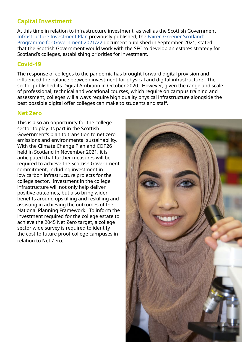# **Capital Investment**

At this time in relation to infrastructure investment, as well as the Scottish Government [Infrastructure Investment Plan](https://www.gov.scot/publications/national-mission-local-impact-infrastructure-investment-plan-scotland-2021-22-2025-26/) previously published, the [Fairer, Greener Scotland:](https://www.gov.scot/publications/fairer-greener-scotland-programme-government-2021-22/)  [Programme for Government 2021/22](https://www.gov.scot/publications/fairer-greener-scotland-programme-government-2021-22/) document published in September 2021, stated that the Scottish Government would work with the SFC to develop an estates strategy for Scotland's colleges, establishing priorities for investment.

### **Covid-19**

The response of colleges to the pandemic has brought forward digital provision and influenced the balance between investment for physical and digital infrastructure. The sector published its Digital Ambition in October 2020. However, given the range and scale of professional, technical and vocational courses, which require on campus training and assessment, colleges will always require high quality physical infrastructure alongside the best possible digital offer colleges can make to students and staff.

#### **Net Zero**

This is also an opportunity for the college sector to play its part in the Scottish Government's plan to transition to net zero emissions and environmental sustainability. With the Climate Change Plan and COP26 held in Scotland in November 2021, it is anticipated that further measures will be required to achieve the Scottish Government commitment, including investment in low carbon infrastructure projects for the college sector. Investment in the college infrastructure will not only help deliver positive outcomes, but also bring wider benefits around upskilling and reskilling and assisting in achieving the outcomes of the National Planning Framework. To inform the investment required for the college estate to achieve the 2045 Net Zero target, a college sector wide survey is required to identify the cost to future proof college campuses in relation to Net Zero.

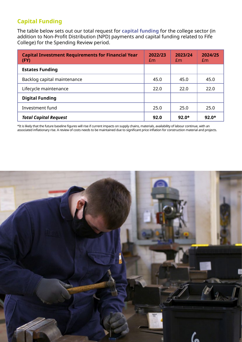# **Capital Funding**

The table below sets out our total request for **capital funding** for the college sector (in addition to Non-Profit Distribution (NPD) payments and capital funding related to Fife College) for the Spending Review period.

| <b>Capital Investment Requirements for Financial Year</b><br>(FY) | 2022/23<br>Em | 2023/24<br>Em | 2024/25<br>Em |
|-------------------------------------------------------------------|---------------|---------------|---------------|
| <b>Estates Funding</b>                                            |               |               |               |
| Backlog capital maintenance                                       | 45.0          | 45.0          | 45.0          |
| Lifecycle maintenance                                             | 22.0          | 22.0          | 22.0          |
| <b>Digital Funding</b>                                            |               |               |               |
| Investment fund                                                   | 25.0          | 25.0          | 25.0          |
| <b>Total Capital Request</b>                                      | 92.0          | $92.0*$       | $92.0*$       |

\*It is likely that the future baseline figures will rise if current impacts on supply chains, materials, availability of labour continue, with an associated inflationary rise. A review of costs needs to be maintained due to significant price inflation for construction material and projects.

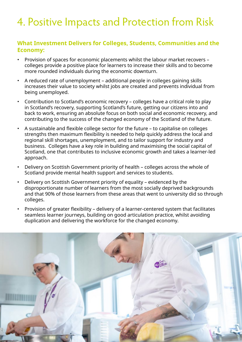# 4. Positive Impacts and Protection from Risk

#### **What Investment Delivers for Colleges, Students, Communities and the Economy:**

- Provision of spaces for economic placements whilst the labour market recovers colleges provide a positive place for learners to increase their skills and to become more rounded individuals during the economic downturn.
- A reduced rate of unemployment additional people in colleges gaining skills increases their value to society whilst jobs are created and prevents individual from being unemployed.
- Contribution to Scotland's economic recovery colleges have a critical role to play in Scotland's recovery, supporting Scotland's future, getting our citizens into and back to work, ensuring an absolute focus on both social and economic recovery, and contributing to the success of the changed economy of the Scotland of the future.
- A sustainable and flexible college sector for the future to capitalise on colleges strengths then maximum flexibility is needed to help quickly address the local and regional skill shortages, unemployment, and to tailor support for industry and business. Colleges have a key role in building and maximising the social capital of Scotland, one that contributes to inclusive economic growth and takes a learner-led approach.
- Delivery on Scottish Government priority of health colleges across the whole of Scotland provide mental health support and services to students.
- Delivery on Scottish Government priority of equality evidenced by the disproportionate number of learners from the most socially deprived backgrounds and that 90% of those learners from these areas that went to university did so through colleges.
- Provision of greater flexibility delivery of a learner-centered system that facilitates seamless learner journeys, building on good articulation practice, whilst avoiding duplication and delivering the workforce for the changed economy.

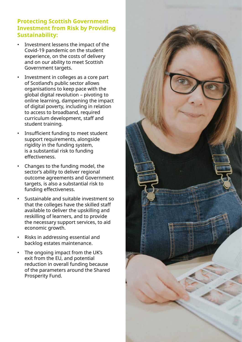#### **Protecting Scottish Government Investment from Risk by Providing Sustainability:**

- Investment lessens the impact of the Covid-19 pandemic on the student experience, on the costs of delivery and on our ability to meet Scottish Government targets.
- Investment in colleges as a core part of Scotland's public sector allows organisations to keep pace with the global digital revolution – pivoting to online learning, dampening the impact of digital poverty, including in relation to access to broadband, required curriculum development, staff and student training.
- Insufficient funding to meet student support requirements, alongside rigidity in the funding system, is a substantial risk to funding effectiveness.
- Changes to the funding model, the sector's ability to deliver regional outcome agreements and Government targets, is also a substantial risk to funding effectiveness.
- Sustainable and suitable investment so that the colleges have the skilled staff available to deliver the upskilling and reskilling of learners, and to provide the necessary support services, to aid economic growth.
- Risks in addressing essential and backlog estates maintenance.
- The ongoing impact from the UK's exit from the EU, and potential reduction in overall funding because of the parameters around the Shared Prosperity Fund.

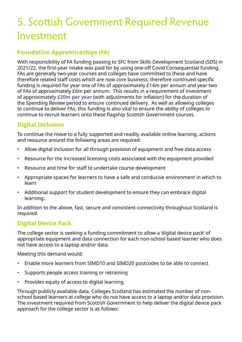# 5. Scottish Government Required Revenue Investment

# **Foundation Apprenticeships (FA)**

With responsibility of FA funding passing to SFC from Skills Development Scotland (SDS) in 2021/22, the first-year intake was paid for by using one-off Covid Consequential funding. FAs are generally two-year courses and colleges have committed to these and have therefore related staff costs which are now core business, therefore continued specific funding is required for year one of FAs of approximately £14m per annum and year two of FAs of approximately £6m per annum. This results in a requirement of investment of approximately **£20m per year** (with adjustments for inflation) for the duration of the Spending Review period to ensure continued delivery. As well as allowing colleges to continue to deliver FAs, this funding is also vital to ensure the ability of colleges to continue to recruit learners onto these flagship Scottish Government courses.

### **Digital Inclusion**

To continue the move to a fully supported and readily available online learning, actions and resource around the following areas are required:

- Allow digital inclusion for all through provision of equipment and free data access
- Resource for the increased licensing costs associated with the equipment provided
- Resource and time for staff to undertake course development
- Appropriate spaces for learners to have a safe and conducive environment in which to learn
- Additional support for student development to ensure they can embrace digital learning.

In addition to the above, fast, secure and consistent connectivity throughout Scotland is required.

### **Digital Device Pack**

The college sector is seeking a funding commitment to allow a 'digital device pack' of appropriate equipment and data connection for each non-school based learner who does not have access to a laptop and/or data.

Meeting this demand would:

- Enable more learners from SIMD10 and SIMD20 postcodes to be able to connect
- Supports people access training or retraining
- Provides equity of access to digital learning.

Through publicly available data, Colleges Scotland has estimated the number of nonschool based learners at college who do not have access to a laptop and/or data provision. The investment required from Scottish Government to help deliver the digital device pack approach for the college sector is as follows: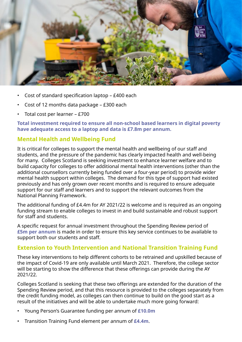

- Cost of standard specification laptop £400 each
- Cost of 12 months data package £300 each
- Total cost per learner £700

**Total investment required to ensure all non-school based learners in digital poverty have adequate access to a laptop and data is £7.8m per annum.**

#### **Mental Health and Wellbeing Fund**

It is critical for colleges to support the mental health and wellbeing of our staff and students, and the pressure of the pandemic has clearly impacted health and well-being for many. Colleges Scotland is seeking investment to enhance learner welfare and to build capacity for colleges to offer additional mental health interventions (other than the additional counsellors currently being funded over a four-year period) to provide wider mental health support within colleges. The demand for this type of support had existed previously and has only grown over recent months and is required to ensure adequate support for our staff and learners and to support the relevant outcomes from the National Planning Framework.

The additional funding of £4.4m for AY 2021/22 is welcome and is required as an ongoing funding stream to enable colleges to invest in and build sustainable and robust support for staff and students.

A specific request for annual investment throughout the Spending Review period of **£5m per annum** is made in order to ensure this key service continues to be available to support both our students and staff.

#### **Extension to Youth Intervention and National Transition Training Fund**

These key interventions to help different cohorts to be retrained and upskilled because of the impact of Covid-19 are only available until March 2021. Therefore, the college sector will be starting to show the difference that these offerings can provide during the AY 2021/22.

Colleges Scotland is seeking that these two offerings are extended for the duration of the Spending Review period, and that this resource is provided to the colleges separately from the credit funding model, as colleges can then continue to build on the good start as a result of the initiatives and will be able to undertake much more going forward:

- Young Person's Guarantee funding per annum of **£10.0m**
- Transition Training Fund element per annum of **£4.4m**.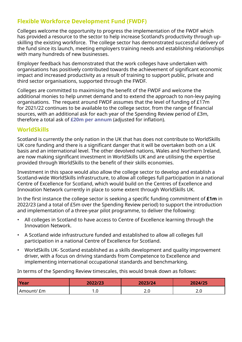## **Flexible Workforce Development Fund (FWDF)**

Colleges welcome the opportunity to progress the implementation of the FWDF which has provided a resource to the sector to help increase Scotland's productivity through upskilling the existing workforce. The college sector has demonstrated successful delivery of the fund since its launch, meeting employers training needs and establishing relationships with many hundreds of new businesses.

Employer feedback has demonstrated that the work colleges have undertaken with organisations has positively contributed towards the achievement of significant economic impact and increased productivity as a result of training to support public, private and third sector organisations, supported through the FWDF.

Colleges are committed to maximising the benefit of the FWDF and welcome the additional monies to help unmet demand and to extend the approach to non-levy paying organisations. The request around FWDF assumes that the level of funding of £17m for 2021/22 continues to be available to the college sector, from the range of financial sources, with an additional ask for each year of the Spending Review period of £3m, therefore a total ask of **£20m per annum** (adjusted for inflation).

#### **WorldSkills**

Scotland is currently the only nation in the UK that has does not contribute to WorldSkills UK core funding and there is a significant danger that it will be overtaken both on a UK basis and an international level. The other devolved nations, Wales and Northern Ireland, are now making significant investment in WorldSkills UK and are utilising the expertise provided through WorldSkills to the benefit of their skills economies.

Investment in this space would also allow the college sector to develop and establish a Scotland-wide WorldSkills infrastructure, to allow all colleges full participation in a national Centre of Excellence for Scotland, which would build on the Centres of Excellence and Innovation Network currently in place to some extent through WorldSkills UK.

In the first instance the college sector is seeking a specific funding commitment of **£1m** in 2022/23 (and a total of £5m over the Spending Review period) to support the introduction and implementation of a three-year pilot programme, to deliver the following:

- All colleges in Scotland to have access to Centre of Excellence learning through the Innovation Network.
- A Scotland wide infrastructure funded and established to allow all colleges full participation in a national Centre of Excellence for Scotland.
- WorldSkills UK- Scotland established as a skills development and quality improvement driver, with a focus on driving standards from Competence to Excellence and implementing international occupational standards and benchmarking.

In terms of the Spending Review timescales, this would break down as follows:

| <b>Year</b> | 2022/23 | 2023/24 | 2024/25 |
|-------------|---------|---------|---------|
| Amount/ £m  | .u      | 2.0     | z.u     |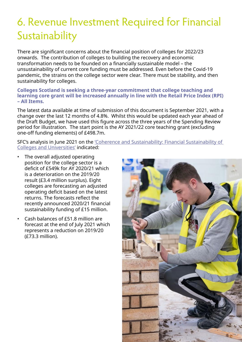# 6. Revenue Investment Required for Financial Sustainability

There are significant concerns about the financial position of colleges for 2022/23 onwards. The contribution of colleges to building the recovery and economic transformation needs to be founded on a financially sustainable model – the unsustainability of current core funding must be addressed. Even before the Covid-19 pandemic, the strains on the college sector were clear. There must be stability, and then sustainability for colleges.

**Colleges Scotland is seeking a three-year commitment that college teaching and learning core grant will be increased annually in line with the Retail Price Index (RPI) – All Items.**

The latest data available at time of submission of this document is September 2021, with a change over the last 12 months of 4.8%. Whilst this would be updated each year ahead of the Draft Budget, we have used this figure across the three years of the Spending Review period for illustration. The start point is the AY 2021/22 core teaching grant (excluding one-off funding elements) of £498.7m.

SFC's analysis in June 2021 on the ['Coherence and Sustainability: Financial Sustainability of](https://www.sfc.ac.uk/review/review.aspx)  [Colleges and Universities'](https://www.sfc.ac.uk/review/review.aspx) indicated:

- The overall adjusted operating position for the college sector is a deficit of £549k for AY 2020/21 which is a deterioration on the 2019/20 result (£3.4 million surplus). Eight colleges are forecasting an adjusted operating deficit based on the latest returns. The forecasts reflect the recently announced 2020/21 financial sustainability funding of £15 million.
- Cash balances of £51.8 million are forecast at the end of July 2021 which represents a reduction on 2019/20 (£73.3 million).

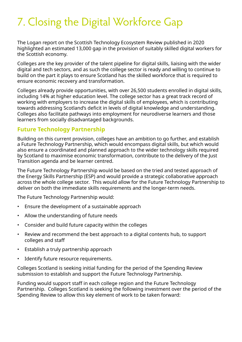# 7. Closing the Digital Workforce Gap

The Logan report on the Scottish Technology Ecosystem Review published in 2020 highlighted an estimated 13,000 gap in the provision of suitably skilled digital workers for the Scottish economy.

Colleges are the key provider of the talent pipeline for digital skills, liaising with the wider digital and tech sectors, and as such the college sector is ready and willing to continue to build on the part it plays to ensure Scotland has the skilled workforce that is required to ensure economic recovery and transformation.

Colleges already provide opportunities, with over 26,500 students enrolled in digital skills, including 14% at higher education level. The college sector has a great track record of working with employers to increase the digital skills of employees, which is contributing towards addressing Scotland's deficit in levels of digital knowledge and understanding. Colleges also facilitate pathways into employment for neurodiverse learners and those learners from socially disadvantaged backgrounds.

#### **Future Technology Partnership**

Building on this current provision, colleges have an ambition to go further, and establish a Future Technology Partnership, which would encompass digital skills, but which would also ensure a coordinated and planned approach to the wider technology skills required by Scotland to maximise economic transformation, contribute to the delivery of the Just Transition agenda and be learner centred.

The Future Technology Partnership would be based on the tried and tested approach of the Energy Skills Partnership (ESP) and would provide a strategic collaborative approach across the whole college sector. This would allow for the Future Technology Partnership to deliver on both the immediate skills requirements and the longer-term needs.

The Future Technology Partnership would:

- Ensure the development of a sustainable approach
- Allow the understanding of future needs
- Consider and build future capacity within the colleges
- Review and recommend the best approach to a digital contents hub, to support colleges and staff
- Establish a truly partnership approach
- Identify future resource requirements.

Colleges Scotland is seeking initial funding for the period of the Spending Review submission to establish and support the Future Technology Partnership.

Funding would support staff in each college region and the Future Technology Partnership. Colleges Scotland is seeking the following investment over the period of the Spending Review to allow this key element of work to be taken forward: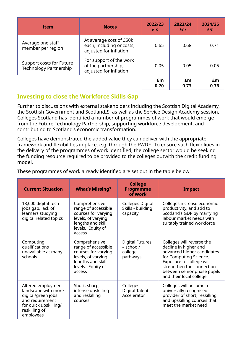| <b>Item</b>                                        | <b>Notes</b>                                                                  | 2022/23<br>£m | 2023/24<br>Em | 2024/25<br>$\mathcal{E}$ m |
|----------------------------------------------------|-------------------------------------------------------------------------------|---------------|---------------|----------------------------|
| Average one staff<br>member per region             | At average cost of £50k<br>each, including oncosts,<br>adjusted for inflation | 0.65          | 0.68          | 0.71                       |
| Support costs for Future<br>Technology Partnership | For support of the work<br>of the partnership,<br>adjusted for inflation      | 0.05          | 0.05          | 0.05                       |
|                                                    |                                                                               | £m<br>0.70    | £m<br>0.73    | £m<br>0.76                 |

### **Investing to close the Workforce Skills Gap**

Further to discussions with external stakeholders including the Scottish Digital Academy, the Scottish Government and ScotlandIS, as well as the Service Design Academy session, Colleges Scotland has identified a number of programmes of work that would emerge from the Future Technology Partnership, supporting workforce development, and contributing to Scotland's economic transformation.

Colleges have demonstrated the added value they can deliver with the appropriate framework and flexibilities in place, e.g. through the FWDF. To ensure such flexibilities in the delivery of the programmes of work identified, the college sector would be seeking the funding resource required to be provided to the colleges outwith the credit funding model.

| <b>Current Situation</b>                                                                                                                  | <b>What's Missing?</b>                                                                                                                | <b>College</b><br><b>Programme</b><br>of Work              | <b>Impact</b>                                                                                                                                                                                                                 |
|-------------------------------------------------------------------------------------------------------------------------------------------|---------------------------------------------------------------------------------------------------------------------------------------|------------------------------------------------------------|-------------------------------------------------------------------------------------------------------------------------------------------------------------------------------------------------------------------------------|
| 13,000 digital-tech<br>jobs gap, lack of<br>learners studying<br>digital related topics                                                   | Comprehensive<br>range of accessible<br>courses for varying<br>levels, of varying<br>lengths and skill<br>levels. Equity of<br>access | Colleges Digital<br>Skills - building<br>capacity          | Colleges increase economic<br>productivity, and add to<br>Scotland's GDP by marrying<br>labour market needs with<br>suitably trained workforce                                                                                |
| Computing<br>qualifications<br>unavailable at many<br>schools                                                                             | Comprehensive<br>range of accessible<br>courses for varying<br>levels, of varying<br>lengths and skill<br>levels. Equity of<br>access | <b>Digital Futures</b><br>- school/<br>college<br>pathways | Colleges will reverse the<br>decline in higher and<br>advanced higher candidates<br>for Computing Science.<br>Exposure to college will<br>strengthen the connection<br>between senior phase pupils<br>and their local college |
| Altered employment<br>landscape with more<br>digital/green jobs<br>and requirement<br>for quick upskilling/<br>reskilling of<br>employees | Short, sharp,<br>intense upskilling<br>and reskilling<br>courses                                                                      | Colleges<br><b>Digital Talent</b><br>Accelerator           | Colleges will become a<br>universally recognised<br>provider of short, reskilling<br>and upskilling courses that<br>meet the market need                                                                                      |

These programmes of work already identified are set out in the table below: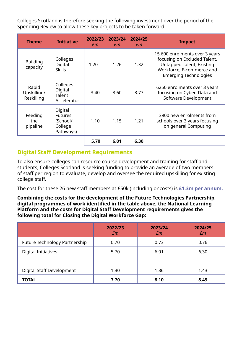Colleges Scotland is therefore seeking the following investment over the period of the Spending Review to allow these key projects to be taken forward:

| <b>Theme</b>                       | <b>Initiative</b>                                             | 2022/23<br>£m | 2023/24<br>£m | 2024/25<br>£m | <b>Impact</b>                                                                                                                                            |
|------------------------------------|---------------------------------------------------------------|---------------|---------------|---------------|----------------------------------------------------------------------------------------------------------------------------------------------------------|
| <b>Building</b><br>capacity        | Colleges<br>Digital<br><b>Skills</b>                          | 1.20          | 1.26          | 1.32          | 15,600 enrolments over 3 years<br>focusing on Excluded Talent,<br>Untapped Talent, Existing<br>Workforce, E-commerce and<br><b>Emerging Technologies</b> |
| Rapid<br>Upskilling/<br>Reskilling | Colleges<br>Digital<br>Talent<br>Accelerator                  | 3.40          | 3.60          | 3.77          | 6250 enrolments over 3 years<br>focusing on Cyber, Data and<br>Software Development                                                                      |
| Feeding<br>the<br>pipeline         | Digital<br><b>Futures</b><br>(School/<br>College<br>Pathways) | 1.10          | 1.15          | 1.21          | 3900 new enrolments from<br>schools over 3 years focusing<br>on general Computing                                                                        |
|                                    |                                                               | 5.70          | 6.01          | 6.30          |                                                                                                                                                          |

#### **Digital Staff Development Requirements**

To also ensure colleges can resource course development and training for staff and students, Colleges Scotland is seeking funding to provide an average of two members of staff per region to evaluate, develop and oversee the required upskilling for existing college staff.

The cost for these 26 new staff members at £50k (including oncosts) is **£1.3m per annum.**

#### **Combining the costs for the development of the Future Technologies Partnership, digital programmes of work identified in the table above, the National Learning Platform and the costs for Digital Staff Development requirements gives the following total for Closing the Digital Workforce Gap:**

|                               | 2022/23<br>$\mathcal{E}$ m | 2023/24<br>Em | 2024/25<br>$\mathcal{E}$ m |
|-------------------------------|----------------------------|---------------|----------------------------|
| Future Technology Partnership | 0.70                       | 0.73          | 0.76                       |
| <b>Digital Initiatives</b>    | 5.70                       | 6.01          | 6.30                       |
| Digital Staff Development     | 1.30                       | 1.36          | 1.43                       |
| <b>TOTAL</b>                  | 7.70                       | 8.10          | 8.49                       |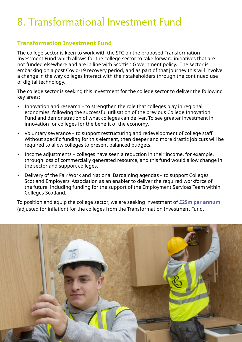# 8. Transformational Investment Fund

### **Transformation Investment Fund**

The college sector is keen to work with the SFC on the proposed Transformation Investment Fund which allows for the college sector to take forward initiatives that are not funded elsewhere and are in line with Scottish Government policy. The sector is embarking on a post Covid-19 recovery period, and as part of that journey this will involve a change in the way colleges interact with their stakeholders through the continued use of digital technology.

The college sector is seeking this investment for the college sector to deliver the following key areas:

- Innovation and research to strengthen the role that colleges play in regional economies, following the successful utilisation of the previous College Innovation Fund and demonstration of what colleges can deliver. To see greater investment in innovation for colleges for the benefit of the economy.
- Voluntary severance to support restructuring and redevelopment of college staff. Without specific funding for this element, then deeper and more drastic job cuts will be required to allow colleges to present balanced budgets.
- Income adjustments colleges have seen a reduction in their income, for example, through loss of commercially generated resource, and this fund would allow change in the sector and support colleges.
- Delivery of the Fair Work and National Bargaining agendas to support Colleges Scotland Employers' Association as an enabler to deliver the required workforce of the future, including funding for the support of the Employment Services Team within Colleges Scotland.

To position and equip the college sector, we are seeking investment of **£25m per annum** (adjusted for inflation) for the colleges from the Transformation Investment Fund.

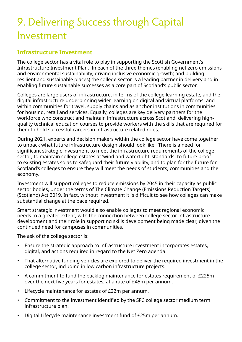# 9. Delivering Success through Capital Investment

#### **Infrastructure Investment**

The college sector has a vital role to play in supporting the Scottish Government's Infrastructure Investment Plan. In each of the three themes (enabling net zero emissions and environmental sustainability; driving inclusive economic growth; and building resilient and sustainable places) the college sector is a leading partner in delivery and in enabling future sustainable successes as a core part of Scotland's public sector.

Colleges are large users of infrastructure, in terms of the college learning estate, and the digital infrastructure underpinning wider learning on digital and virtual platforms, and within communities for travel, supply chains and as anchor institutions in communities for housing, retail and services. Equally, colleges are key delivery partners for the workforce who construct and maintain infrastructure across Scotland, delivering highquality technical education courses to provide workers with the skills that are required for them to hold successful careers in infrastructure related roles.

During 2021, experts and decision makers within the college sector have come together to unpack what future infrastructure design should look like. There is a need for significant strategic investment to meet the infrastructure requirements of the college sector, to maintain college estates at 'wind and watertight' standards, to future proof to existing estates so as to safeguard their future viability, and to plan for the future for Scotland's colleges to ensure they will meet the needs of students, communities and the economy.

Investment will support colleges to reduce emissions by 2045 in their capacity as public sector bodies, under the terms of The Climate Change (Emissions Reduction Targets) (Scotland) Act 2019. In fact, without investment it is difficult to see how colleges can make substantial change at the pace required.

Smart strategic investment would also enable colleges to meet regional economic needs to a greater extent, with the connection between college sector infrastructure development and their role in supporting skills development being made clear, given the continued need for campuses in communities.

The ask of the college sector is:

- Ensure the strategic approach to infrastructure investment incorporates estates, digital, and actions required in regard to the Net Zero agenda.
- That alternative funding vehicles are explored to deliver the required investment in the college sector, including in low carbon infrastructure projects.
- A commitment to fund the backlog maintenance for estates requirement of £225m over the next five years for estates, at a rate of £45m per annum.
- Lifecycle maintenance for estates of £22m per annum.
- Commitment to the investment identified by the SFC college sector medium term infrastructure plan.
- Digital Lifecycle maintenance investment fund of £25m per annum.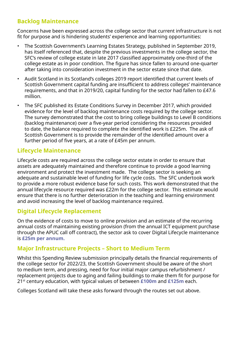### **Backlog Maintenance**

Concerns have been expressed across the college sector that current infrastructure is not fit for purpose and is hindering students' experience and learning opportunities:

- The Scottish Government's Learning Estates Strategy, published in September 2019, has itself referenced that, despite the previous investments in the college sector, the SFC's review of college estate in late 2017 classified approximately one-third of the college estate as in poor condition. The figure has since fallen to around one-quarter after taking into consideration investment in the sector estate since that date.
- Audit Scotland in its Scotland's colleges 2019 report identified that current levels of Scottish Government capital funding are insufficient to address colleges' maintenance requirements, and that in 2019/20, capital funding for the sector had fallen to £47.6 million.
- The SFC published its Estate Conditions Survey in December 2017, which provided evidence for the level of backlog maintenance costs required by the college sector. The survey demonstrated that the cost to bring college buildings to Level B conditions (backlog maintenance) over a five-year period considering the resources provided to date, the balance required to complete the identified work is £225m. The ask of Scottish Government is to provide the remainder of the identified amount over a further period of five years, at a rate of £45m per annum.

#### **Lifecycle Maintenance**

Lifecycle costs are required across the college sector estate in order to ensure that assets are adequately maintained and therefore continue to provide a good learning environment and protect the investment made. The college sector is seeking an adequate and sustainable level of funding for life cycle costs. The SFC undertook work to provide a more robust evidence base for such costs. This work demonstrated that the annual lifecycle resource required was £22m for the college sector. This estimate would ensure that there is no further deterioration in the teaching and learning environment and avoid increasing the level of backlog maintenance required.

#### **Digital Lifecycle Replacement**

On the evidence of costs to move to online provision and an estimate of the recurring annual costs of maintaining existing provision (from the annual ICT equipment purchase through the APUC call off contract), the sector ask to cover Digital Lifecycle maintenance is **£25m per annum.**

#### **Major Infrastructure Projects – Short to Medium Term**

Whilst this Spending Review submission principally details the financial requirements of the college sector for 2022/23, the Scottish Government should be aware of the short to medium term, and pressing, need for four initial major campus refurbishment / replacement projects due to aging and failing buildings to make them fit for purpose for 21st century education, with typical values of between **£100m** and **£125m** each.

Colleges Scotland will take these asks forward through the routes set out above.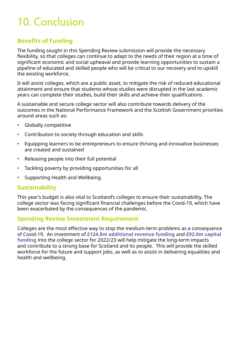# 10. Conclusion

### **Benefits of Funding**

The funding sought in this Spending Review submission will provide the necessary flexibility, so that colleges can continue to adapt to the needs of their region at a time of significant economic and social upheaval and provide learning opportunities to sustain a pipeline of educated and skilled people who will be critical to our recovery and to upskill the existing workforce.

It will assist colleges, which are a public asset, to mitigate the risk of reduced educational attainment and ensure that students whose studies were disrupted in the last academic years can complete their studies, build their skills and achieve their qualifications.

A sustainable and secure college sector will also contribute towards delivery of the outcomes in the National Performance Framework and the Scottish Government priorities around areas such as:

- Globally competitive
- Contribution to society through education and skills
- Equipping learners to be entrepreneurs to ensure thriving and innovative businesses are created and sustained
- Releasing people into their full potential
- Tackling poverty by providing opportunities for all
- Supporting Health and Wellbeing.

#### **Sustainability**

This year's budget is also vital to Scotland's colleges to ensure their sustainability. The college sector was facing significant financial challenges before the Covid-19, which have been exacerbated by the consequences of the pandemic.

#### **Spending Review Investment Requirement**

Colleges are the most effective way to stop the medium-term problems as a consequence of Covid-19. An investment of **£124.8m additional revenue funding** and **£92.0m capital funding** into the college sector for 2022/23 will help mitigate the long-term impacts and contribute to a strong base for Scotland and its people. This will provide the skilled workforce for the future and support jobs, as well as to assist in delivering equalities and health and wellbeing.